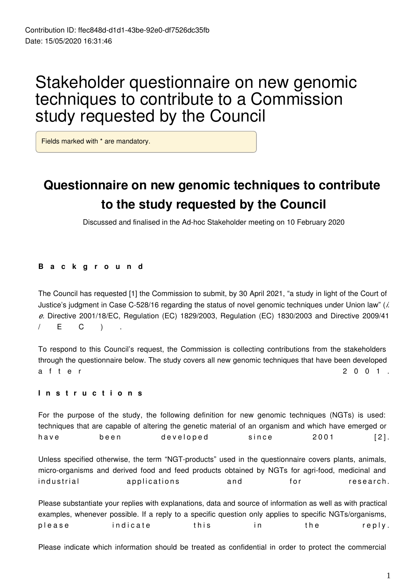# Stakeholder questionnaire on new genomic techniques to contribute to a Commission study requested by the Council

Fields marked with \* are mandatory.

# **Questionnaire on new genomic techniques to contribute to the study requested by the Council**

Discussed and finalised in the Ad-hoc Stakeholder meeting on 10 February 2020

#### **B a c k g r o u n d**

The Council has requested [1] the Commission to submit, by 30 April 2021, "a study in light of the Court of Justice's judgment in Case C-528/16 regarding the status of novel genomic techniques under Union law" (*i. e.* Directive 2001/18/EC, Regulation (EC) 1829/2003, Regulation (EC) 1830/2003 and Directive 2009/41 / E C ) .

To respond to this Council's request, the Commission is collecting contributions from the stakeholders through the questionnaire below. The study covers all new genomic techniques that have been developed a f t e r 2 0 0 1 .

#### **I n s t r u c t i o n s**

For the purpose of the study, the following definition for new genomic techniques (NGTs) is used: techniques that are capable of altering the genetic material of an organism and which have emerged or have been developed since 2001 [2]. Unless specified otherwise, the term "NGT-products" used in the questionnaire covers plants, animals, micro-organisms and derived food and feed products obtained by NGTs for agri-food, medicinal and industrial applications and for research.

Please substantiate your replies with explanations, data and source of information as well as with practical examples, whenever possible. If a reply to a specific question only applies to specific NGTs/organisms, please indicate this in the reply.

Please indicate which information should be treated as confidential in order to protect the commercial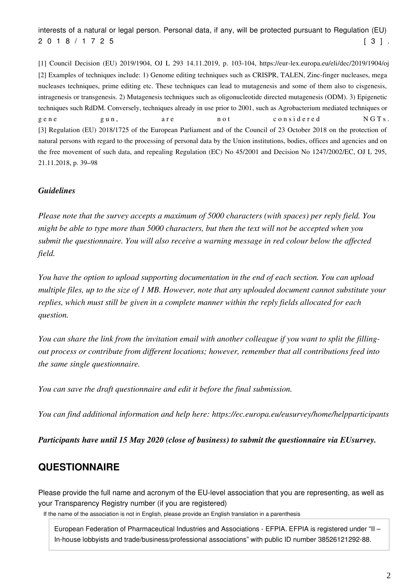interests of a natural or legal person. Personal data, if any, will be protected pursuant to Regulation (EU) 2 0 1 8 / 1 7 2 5 [ 3 ] .

[1] Council Decision (EU) 2019/1904, OJ L 293 14.11.2019, p. 103-104, https://eur-lex.europa.eu/eli/dec/2019/1904/oj [2] Examples of techniques include: 1) Genome editing techniques such as CRISPR, TALEN, Zinc-finger nucleases, mega nucleases techniques, prime editing etc. These techniques can lead to mutagenesis and some of them also to cisgenesis, intragenesis or transgenesis. 2) Mutagenesis techniques such as oligonucleotide directed mutagenesis (ODM). 3) Epigenetic techniques such RdDM. Conversely, techniques already in use prior to 2001, such as Agrobacterium mediated techniques or gene gun, are not considered NGTs. [3] Regulation (EU) 2018/1725 of the European Parliament and of the Council of 23 October 2018 on the protection of natural persons with regard to the processing of personal data by the Union institutions, bodies, offices and agencies and on the free movement of such data, and repealing Regulation (EC) No 45/2001 and Decision No 1247/2002/EC, OJ L 295, 21.11.2018, p. 39–98

#### *Guidelines*

*Please note that the survey accepts a maximum of 5000 characters (with spaces) per reply field. You might be able to type more than 5000 characters, but then the text will not be accepted when you submit the questionnaire. You will also receive a warning message in red colour below the affected field.*

*You have the option to upload supporting documentation in the end of each section. You can upload multiple files, up to the size of 1 MB. However, note that any uploaded document cannot substitute your replies, which must still be given in a complete manner within the reply fields allocated for each question.*

*You can share the link from the invitation email with another colleague if you want to split the fillingout process or contribute from different locations; however, remember that all contributions feed into the same single questionnaire.*

*You can save the draft questionnaire and edit it before the final submission.*

*You can find additional information and help here: https://ec.europa.eu/eusurvey/home/helpparticipants*

*Participants have until 15 May 2020 (close of business) to submit the questionnaire via EUsurvey.*

## **QUESTIONNAIRE**

Please provide the full name and acronym of the EU-level association that you are representing, as well as your Transparency Registry number (if you are registered)

If the name of the association is not in English, please provide an English translation in a parenthesis

European Federation of Pharmaceutical Industries and Associations - EFPIA. EFPIA is registered under "II – In-house lobbyists and trade/business/professional associations" with public ID number 38526121292-88.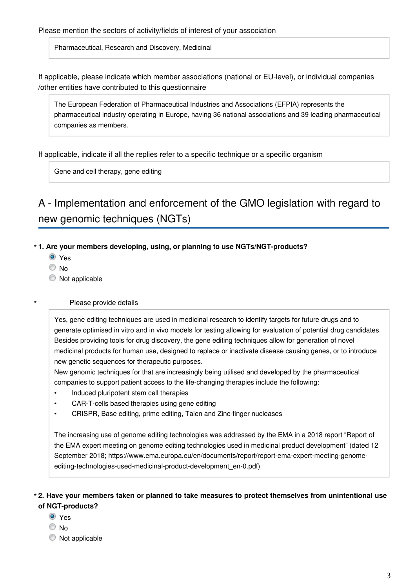Pharmaceutical, Research and Discovery, Medicinal

If applicable, please indicate which member associations (national or EU-level), or individual companies /other entities have contributed to this questionnaire

The European Federation of Pharmaceutical Industries and Associations (EFPIA) represents the pharmaceutical industry operating in Europe, having 36 national associations and 39 leading pharmaceutical companies as members.

If applicable, indicate if all the replies refer to a specific technique or a specific organism

Gene and cell therapy, gene editing

# A - Implementation and enforcement of the GMO legislation with regard to new genomic techniques (NGTs)

#### **1. Are your members developing, using, or planning to use NGTs/NGT-products? \***

- <sup>O</sup> Yes
- © No

**\***

 $\bullet$  Not applicable

#### Please provide details

Yes, gene editing techniques are used in medicinal research to identify targets for future drugs and to generate optimised in vitro and in vivo models for testing allowing for evaluation of potential drug candidates. Besides providing tools for drug discovery, the gene editing techniques allow for generation of novel medicinal products for human use, designed to replace or inactivate disease causing genes, or to introduce new genetic sequences for therapeutic purposes.

New genomic techniques for that are increasingly being utilised and developed by the pharmaceutical companies to support patient access to the life-changing therapies include the following:

- Induced pluripotent stem cell therapies
- CAR-T-cells based therapies using gene editing
- CRISPR, Base editing, prime editing, Talen and Zinc-finger nucleases

The increasing use of genome editing technologies was addressed by the EMA in a 2018 report "Report of the EMA expert meeting on genome editing technologies used in medicinal product development" (dated 12 September 2018; https://www.ema.europa.eu/en/documents/report/report-ema-expert-meeting-genomeediting-technologies-used-medicinal-product-development\_en-0.pdf)

### **2. Have your members taken or planned to take measures to protect themselves from unintentional use \* of NGT-products?**

- O Yes
- © No
- $\bullet$  Not applicable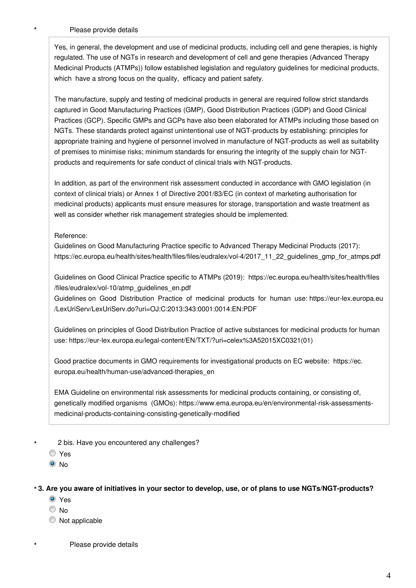Please provide details

**\***

Yes, in general, the development and use of medicinal products, including cell and gene therapies, is highly regulated. The use of NGTs in research and development of cell and gene therapies (Advanced Therapy Medicinal Products (ATMPs)) follow established legislation and regulatory guidelines for medicinal products, which have a strong focus on the quality, efficacy and patient safety.

The manufacture, supply and testing of medicinal products in general are required follow strict standards captured in Good Manufacturing Practices (GMP), Good Distribution Practices (GDP) and Good Clinical Practices (GCP). Specific GMPs and GCPs have also been elaborated for ATMPs including those based on NGTs. These standards protect against unintentional use of NGT-products by establishing: principles for appropriate training and hygiene of personnel involved in manufacture of NGT-products as well as suitability of premises to minimise risks; minimum standards for ensuring the integrity of the supply chain for NGTproducts and requirements for safe conduct of clinical trials with NGT-products.

In addition, as part of the environment risk assessment conducted in accordance with GMO legislation (in context of clinical trials) or Annex 1 of Directive 2001/83/EC (in context of marketing authorisation for medicinal products) applicants must ensure measures for storage, transportation and waste treatment as well as consider whether risk management strategies should be implemented.

Reference:

Guidelines on Good Manufacturing Practice specific to Advanced Therapy Medicinal Products (2017): https://ec.europa.eu/health/sites/health/files/files/eudralex/vol-4/2017\_11\_22\_guidelines\_gmp\_for\_atmps.pdf

Guidelines on Good Clinical Practice specific to ATMPs (2019): https://ec.europa.eu/health/sites/health/files /files/eudralex/vol-10/atmp\_guidelines\_en.pdf

Guidelines on Good Distribution Practice of medicinal products for human use: https://eur-lex.europa.eu /LexUriServ/LexUriServ.do?uri=OJ:C:2013:343:0001:0014:EN:PDF

Guidelines on principles of Good Distribution Practice of active substances for medicinal products for human use: https://eur-lex.europa.eu/legal-content/EN/TXT/?uri=celex%3A52015XC0321(01)

Good practice documents in GMO requirements for investigational products on EC website: https://ec. europa.eu/health/human-use/advanced-therapies\_en

EMA Guideline on environmental risk assessments for medicinal products containing, or consisting of, genetically modified organisms (GMOs): https://www.ema.europa.eu/en/environmental-risk-assessmentsmedicinal-products-containing-consisting-genetically-modified

2 bis. Have you encountered any challenges?

Yes

**\***

**\***

<sup>O</sup>No

#### **3. Are you aware of initiatives in your sector to develop, use, or of plans to use NGTs/NGT-products? \***

- Yes
- © No
- $\bullet$  Not applicable

Please provide details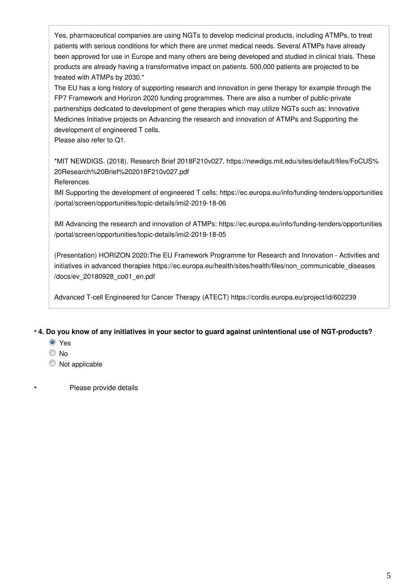Yes, pharmaceutical companies are using NGTs to develop medicinal products, including ATMPs, to treat patients with serious conditions for which there are unmet medical needs. Several ATMPs have already been approved for use in Europe and many others are being developed and studied in clinical trials. These products are already having a transformative impact on patients. 500,000 patients are projected to be treated with ATMPs by 2030.\*

The EU has a long history of supporting research and innovation in gene therapy for example through the FP7 Framework and Horizon 2020 funding programmes. There are also a number of public-private partnerships dedicated to development of gene therapies which may utilize NGTs such as: Innovative Medicines Initiative projects on Advancing the research and innovation of ATMPs and Supporting the development of engineered T cells.

Please also refer to Q1.

\*MIT NEWDIGS. (2018). Research Brief 2018F210v027. https://newdigs.mit.edu/sites/default/files/FoCUS% 20Research%20Brief%202018F210v027.pdf

References

IMI Supporting the development of engineered T cells: https://ec.europa.eu/info/funding-tenders/opportunities /portal/screen/opportunities/topic-details/imi2-2019-18-06

IMI Advancing the research and innovation of ATMPs: https://ec.europa.eu/info/funding-tenders/opportunities /portal/screen/opportunities/topic-details/imi2-2019-18-05

(Presentation) HORIZON 2020:The EU Framework Programme for Research and Innovation - Activities and initiatives in advanced therapies https://ec.europa.eu/health/sites/health/files/non\_communicable\_diseases /docs/ev\_20180928\_co01\_en.pdf

Advanced T-cell Engineered for Cancer Therapy (ATECT) https://cordis.europa.eu/project/id/602239

#### **4. Do you know of any initiatives in your sector to guard against unintentional use of NGT-products? \***

- O Yes
- © No

**\***

 $\bullet$  Not applicable

Please provide details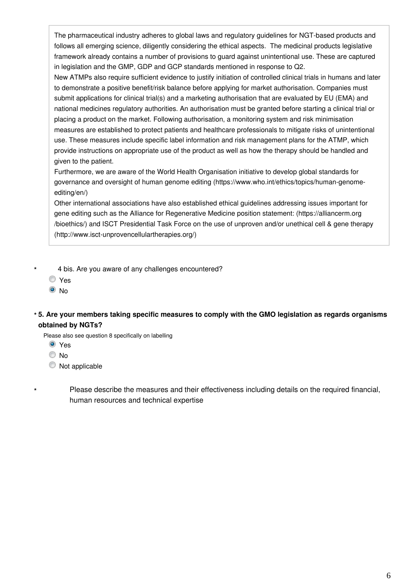The pharmaceutical industry adheres to global laws and regulatory guidelines for NGT-based products and follows all emerging science, diligently considering the ethical aspects. The medicinal products legislative framework already contains a number of provisions to guard against unintentional use. These are captured in legislation and the GMP, GDP and GCP standards mentioned in response to Q2.

New ATMPs also require sufficient evidence to justify initiation of controlled clinical trials in humans and later to demonstrate a positive benefit/risk balance before applying for market authorisation. Companies must submit applications for clinical trial(s) and a marketing authorisation that are evaluated by EU (EMA) and national medicines regulatory authorities. An authorisation must be granted before starting a clinical trial or placing a product on the market. Following authorisation, a monitoring system and risk minimisation measures are established to protect patients and healthcare professionals to mitigate risks of unintentional use. These measures include specific label information and risk management plans for the ATMP, which provide instructions on appropriate use of the product as well as how the therapy should be handled and given to the patient.

Furthermore, we are aware of the World Health Organisation initiative to develop global standards for governance and oversight of human genome editing (https://www.who.int/ethics/topics/human-genomeediting/en/)

Other international associations have also established ethical guidelines addressing issues important for gene editing such as the Alliance for Regenerative Medicine position statement: (https://alliancerm.org /bioethics/) and ISCT Presidential Task Force on the use of unproven and/or unethical cell & gene therapy (http://www.isct-unprovencellulartherapies.org/)

- 4 bis. Are you aware of any challenges encountered?
- Yes

**\***

**\***

<sup>O</sup>No

### **5. Are your members taking specific measures to comply with the GMO legislation as regards organisms \* obtained by NGTs?**

Please also see question 8 specifically on labelling

- Yes
- © No
- $\bullet$  Not applicable

Please describe the measures and their effectiveness including details on the required financial, human resources and technical expertise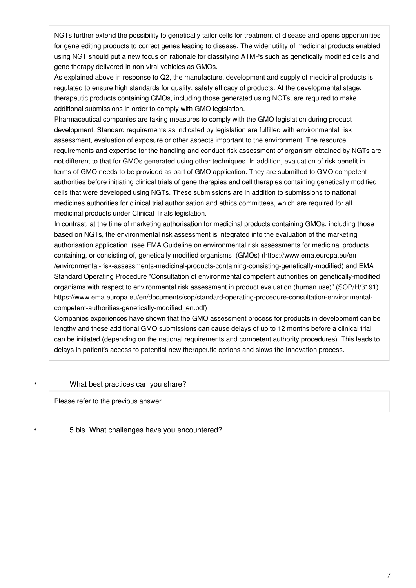NGTs further extend the possibility to genetically tailor cells for treatment of disease and opens opportunities for gene editing products to correct genes leading to disease. The wider utility of medicinal products enabled using NGT should put a new focus on rationale for classifying ATMPs such as genetically modified cells and gene therapy delivered in non-viral vehicles as GMOs.

As explained above in response to Q2, the manufacture, development and supply of medicinal products is regulated to ensure high standards for quality, safety efficacy of products. At the developmental stage, therapeutic products containing GMOs, including those generated using NGTs, are required to make additional submissions in order to comply with GMO legislation.

Pharmaceutical companies are taking measures to comply with the GMO legislation during product development. Standard requirements as indicated by legislation are fulfilled with environmental risk assessment, evaluation of exposure or other aspects important to the environment. The resource requirements and expertise for the handling and conduct risk assessment of organism obtained by NGTs are not different to that for GMOs generated using other techniques. In addition, evaluation of risk benefit in terms of GMO needs to be provided as part of GMO application. They are submitted to GMO competent authorities before initiating clinical trials of gene therapies and cell therapies containing genetically modified cells that were developed using NGTs. These submissions are in addition to submissions to national medicines authorities for clinical trial authorisation and ethics committees, which are required for all medicinal products under Clinical Trials legislation.

In contrast, at the time of marketing authorisation for medicinal products containing GMOs, including those based on NGTs, the environmental risk assessment is integrated into the evaluation of the marketing authorisation application. (see EMA Guideline on environmental risk assessments for medicinal products containing, or consisting of, genetically modified organisms (GMOs) (https://www.ema.europa.eu/en /environmental-risk-assessments-medicinal-products-containing-consisting-genetically-modified) and EMA Standard Operating Procedure "Consultation of environmental competent authorities on genetically-modified organisms with respect to environmental risk assessment in product evaluation (human use)" (SOP/H/3191) https://www.ema.europa.eu/en/documents/sop/standard-operating-procedure-consultation-environmentalcompetent-authorities-genetically-modified\_en.pdf)

Companies experiences have shown that the GMO assessment process for products in development can be lengthy and these additional GMO submissions can cause delays of up to 12 months before a clinical trial can be initiated (depending on the national requirements and competent authority procedures). This leads to delays in patient's access to potential new therapeutic options and slows the innovation process.

#### What best practices can you share?

Please refer to the previous answer.

**\***

**\***

5 bis. What challenges have you encountered?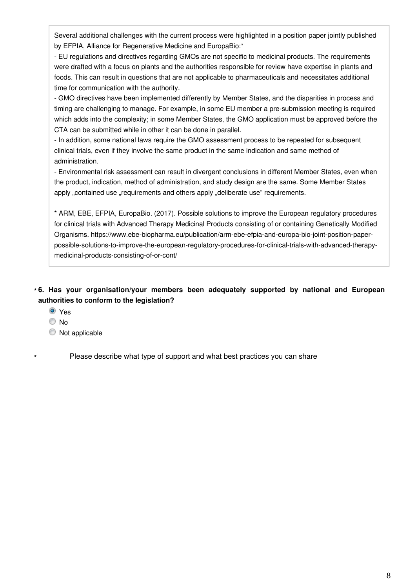Several additional challenges with the current process were highlighted in a position paper jointly published by EFPIA, Alliance for Regenerative Medicine and EuropaBio:\*

- EU regulations and directives regarding GMOs are not specific to medicinal products. The requirements were drafted with a focus on plants and the authorities responsible for review have expertise in plants and foods. This can result in questions that are not applicable to pharmaceuticals and necessitates additional time for communication with the authority.

- GMO directives have been implemented differently by Member States, and the disparities in process and timing are challenging to manage. For example, in some EU member a pre-submission meeting is required which adds into the complexity; in some Member States, the GMO application must be approved before the CTA can be submitted while in other it can be done in parallel.

- In addition, some national laws require the GMO assessment process to be repeated for subsequent clinical trials, even if they involve the same product in the same indication and same method of administration.

- Environmental risk assessment can result in divergent conclusions in different Member States, even when the product, indication, method of administration, and study design are the same. Some Member States apply "contained use "requirements and others apply "deliberate use" requirements.

\* ARM, EBE, EFPIA, EuropaBio. (2017). Possible solutions to improve the European regulatory procedures for clinical trials with Advanced Therapy Medicinal Products consisting of or containing Genetically Modified Organisms. https://www.ebe-biopharma.eu/publication/arm-ebe-efpia-and-europa-bio-joint-position-paperpossible-solutions-to-improve-the-european-regulatory-procedures-for-clinical-trials-with-advanced-therapymedicinal-products-consisting-of-or-cont/

### **6. Has your organisation/your members been adequately supported by national and European \* authorities to conform to the legislation?**

- <sup>O</sup> Yes
- © No

**\***

 $\bullet$  Not applicable

Please describe what type of support and what best practices you can share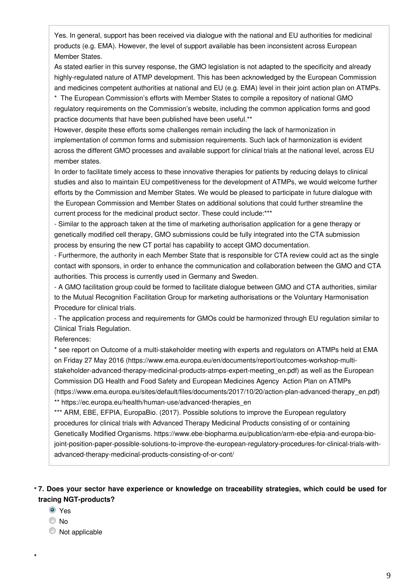Yes. In general, support has been received via dialogue with the national and EU authorities for medicinal products (e.g. EMA). However, the level of support available has been inconsistent across European Member States.

As stated earlier in this survey response, the GMO legislation is not adapted to the specificity and already highly-regulated nature of ATMP development. This has been acknowledged by the European Commission and medicines competent authorities at national and EU (e.g. EMA) level in their joint action plan on ATMPs.

\* The European Commission's efforts with Member States to compile a repository of national GMO regulatory requirements on the Commission's website, including the common application forms and good practice documents that have been published have been useful.\*\*

However, despite these efforts some challenges remain including the lack of harmonization in implementation of common forms and submission requirements. Such lack of harmonization is evident across the different GMO processes and available support for clinical trials at the national level, across EU member states.

In order to facilitate timely access to these innovative therapies for patients by reducing delays to clinical studies and also to maintain EU competitiveness for the development of ATMPs, we would welcome further efforts by the Commission and Member States. We would be pleased to participate in future dialogue with the European Commission and Member States on additional solutions that could further streamline the current process for the medicinal product sector. These could include:\*\*\*

- Similar to the approach taken at the time of marketing authorisation application for a gene therapy or genetically modified cell therapy, GMO submissions could be fully integrated into the CTA submission process by ensuring the new CT portal has capability to accept GMO documentation.

- Furthermore, the authority in each Member State that is responsible for CTA review could act as the single contact with sponsors, in order to enhance the communication and collaboration between the GMO and CTA authorities. This process is currently used in Germany and Sweden.

- A GMO facilitation group could be formed to facilitate dialogue between GMO and CTA authorities, similar to the Mutual Recognition Facilitation Group for marketing authorisations or the Voluntary Harmonisation Procedure for clinical trials.

- The application process and requirements for GMOs could be harmonized through EU regulation similar to Clinical Trials Regulation.

References:

\* see report on Outcome of a multi-stakeholder meeting with experts and regulators on ATMPs held at EMA on Friday 27 May 2016 (https://www.ema.europa.eu/en/documents/report/outcomes-workshop-multistakeholder-advanced-therapy-medicinal-products-atmps-expert-meeting\_en.pdf) as well as the European Commission DG Health and Food Safety and European Medicines Agency Action Plan on ATMPs (https://www.ema.europa.eu/sites/default/files/documents/2017/10/20/action-plan-advanced-therapy\_en.pdf) \*\* https://ec.europa.eu/health/human-use/advanced-therapies\_en

\*\*\* ARM, EBE, EFPIA, EuropaBio. (2017). Possible solutions to improve the European regulatory procedures for clinical trials with Advanced Therapy Medicinal Products consisting of or containing Genetically Modified Organisms. https://www.ebe-biopharma.eu/publication/arm-ebe-efpia-and-europa-biojoint-position-paper-possible-solutions-to-improve-the-european-regulatory-procedures-for-clinical-trials-withadvanced-therapy-medicinal-products-consisting-of-or-cont/

### **7. Does your sector have experience or knowledge on traceability strategies, which could be used for \* tracing NGT-products?**

- <sup>O</sup> Yes
- © No

**\***

 $\bullet$  Not applicable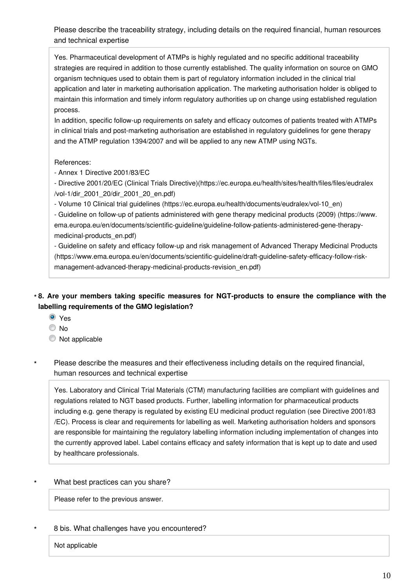Please describe the traceability strategy, including details on the required financial, human resources and technical expertise

Yes. Pharmaceutical development of ATMPs is highly regulated and no specific additional traceability strategies are required in addition to those currently established. The quality information on source on GMO organism techniques used to obtain them is part of regulatory information included in the clinical trial application and later in marketing authorisation application. The marketing authorisation holder is obliged to maintain this information and timely inform regulatory authorities up on change using established regulation process.

In addition, specific follow-up requirements on safety and efficacy outcomes of patients treated with ATMPs in clinical trials and post-marketing authorisation are established in regulatory guidelines for gene therapy and the ATMP regulation 1394/2007 and will be applied to any new ATMP using NGTs.

References:

- Annex 1 Directive 2001/83/EC

- Directive 2001/20/EC (Clinical Trials Directive)(https://ec.europa.eu/health/sites/health/files/files/eudralex /vol-1/dir\_2001\_20/dir\_2001\_20\_en.pdf)

- Volume 10 Clinical trial guidelines (https://ec.europa.eu/health/documents/eudralex/vol-10\_en)

- Guideline on follow-up of patients administered with gene therapy medicinal products (2009) (https://www. ema.europa.eu/en/documents/scientific-guideline/guideline-follow-patients-administered-gene-therapymedicinal-products\_en.pdf)

- Guideline on safety and efficacy follow-up and risk management of Advanced Therapy Medicinal Products (https://www.ema.europa.eu/en/documents/scientific-guideline/draft-guideline-safety-efficacy-follow-riskmanagement-advanced-therapy-medicinal-products-revision\_en.pdf)

### **8. Are your members taking specific measures for NGT-products to ensure the compliance with the \* labelling requirements of the GMO legislation?**

- <sup>O</sup> Yes
- No
- $\bullet$  Not applicable
- Please describe the measures and their effectiveness including details on the required financial, human resources and technical expertise **\***

Yes. Laboratory and Clinical Trial Materials (CTM) manufacturing facilities are compliant with guidelines and regulations related to NGT based products. Further, labelling information for pharmaceutical products including e.g. gene therapy is regulated by existing EU medicinal product regulation (see Directive 2001/83 /EC). Process is clear and requirements for labelling as well. Marketing authorisation holders and sponsors are responsible for maintaining the regulatory labelling information including implementation of changes into the currently approved label. Label contains efficacy and safety information that is kept up to date and used by healthcare professionals.

#### What best practices can you share? **\***

Please refer to the previous answer.

#### 8 bis. What challenges have you encountered? **\***

Not applicable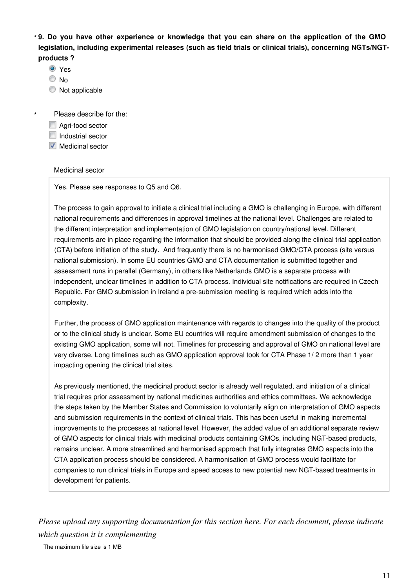**9. Do you have other experience or knowledge that you can share on the application of the GMO \* legislation, including experimental releases (such as field trials or clinical trials), concerning NGTs/NGTproducts ?**

- <sup>O</sup> Yes
- © No

**\***

C Not applicable

Please describe for the:

- Agri-food sector
- $\Box$  Industrial sector
- **Medicinal sector**

#### Medicinal sector

Yes. Please see responses to Q5 and Q6.

The process to gain approval to initiate a clinical trial including a GMO is challenging in Europe, with different national requirements and differences in approval timelines at the national level. Challenges are related to the different interpretation and implementation of GMO legislation on country/national level. Different requirements are in place regarding the information that should be provided along the clinical trial application (CTA) before initiation of the study. And frequently there is no harmonised GMO/CTA process (site versus national submission). In some EU countries GMO and CTA documentation is submitted together and assessment runs in parallel (Germany), in others like Netherlands GMO is a separate process with independent, unclear timelines in addition to CTA process. Individual site notifications are required in Czech Republic. For GMO submission in Ireland a pre-submission meeting is required which adds into the complexity.

Further, the process of GMO application maintenance with regards to changes into the quality of the product or to the clinical study is unclear. Some EU countries will require amendment submission of changes to the existing GMO application, some will not. Timelines for processing and approval of GMO on national level are very diverse. Long timelines such as GMO application approval took for CTA Phase 1/ 2 more than 1 year impacting opening the clinical trial sites.

As previously mentioned, the medicinal product sector is already well regulated, and initiation of a clinical trial requires prior assessment by national medicines authorities and ethics committees. We acknowledge the steps taken by the Member States and Commission to voluntarily align on interpretation of GMO aspects and submission requirements in the context of clinical trials. This has been useful in making incremental improvements to the processes at national level. However, the added value of an additional separate review of GMO aspects for clinical trials with medicinal products containing GMOs, including NGT-based products, remains unclear. A more streamlined and harmonised approach that fully integrates GMO aspects into the CTA application process should be considered. A harmonisation of GMO process would facilitate for companies to run clinical trials in Europe and speed access to new potential new NGT-based treatments in development for patients.

*Please upload any supporting documentation for this section here. For each document, please indicate which question it is complementing*

The maximum file size is 1 MB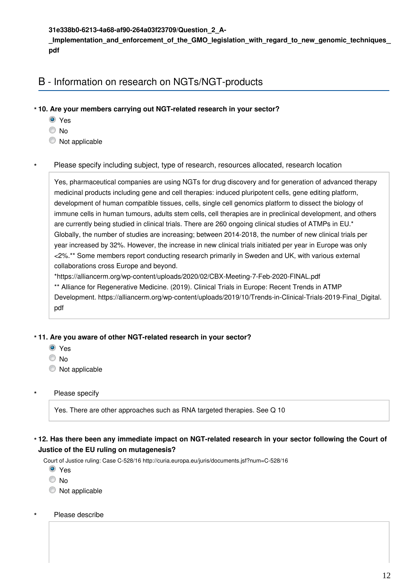**31e338b0-6213-4a68-af90-264a03f23709/Question\_2\_A-**

Implementation and enforcement of the GMO legislation with regard to new genomic techniques **pdf**

# B - Information on research on NGTs/NGT-products

- **10. Are your members carrying out NGT-related research in your sector? \***
	- O Yes
	- © No
	- $\bullet$  Not applicable

#### Please specify including subject, type of research, resources allocated, research location **\***

Yes, pharmaceutical companies are using NGTs for drug discovery and for generation of advanced therapy medicinal products including gene and cell therapies: induced pluripotent cells, gene editing platform, development of human compatible tissues, cells, single cell genomics platform to dissect the biology of immune cells in human tumours, adults stem cells, cell therapies are in preclinical development, and others are currently being studied in clinical trials. There are 260 ongoing clinical studies of ATMPs in EU.\* Globally, the number of studies are increasing; between 2014-2018, the number of new clinical trials per year increased by 32%. However, the increase in new clinical trials initiated per year in Europe was only <2%.\*\* Some members report conducting research primarily in Sweden and UK, with various external collaborations cross Europe and beyond.

\*https://alliancerm.org/wp-content/uploads/2020/02/CBX-Meeting-7-Feb-2020-FINAL.pdf

\*\* Alliance for Regenerative Medicine. (2019). Clinical Trials in Europe: Recent Trends in ATMP Development. https://alliancerm.org/wp-content/uploads/2019/10/Trends-in-Clinical-Trials-2019-Final\_Digital. pdf

### **11. Are you aware of other NGT-related research in your sector? \***

- <sup>O</sup> Yes
- © No

**\***

**\***

- $\bullet$  Not applicable
- Please specify

Yes. There are other approaches such as RNA targeted therapies. See Q 10

#### **12. Has there been any immediate impact on NGT-related research in your sector following the Court of \* Justice of the EU ruling on mutagenesis?**

Court of Justice ruling: Case C-528/16 http://curia.europa.eu/juris/documents.jsf?num=C-528/16

- <sup>O</sup> Yes
- O No
- $\bullet$  Not applicable
- Please describe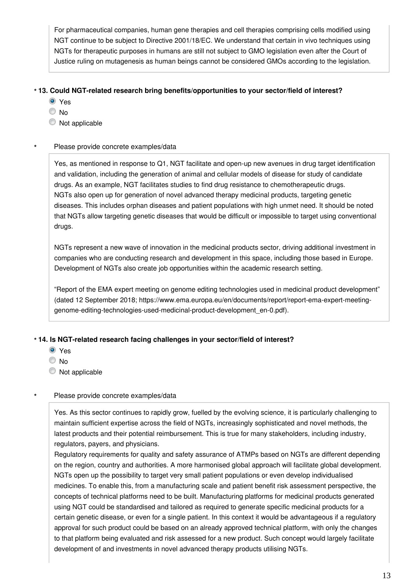For pharmaceutical companies, human gene therapies and cell therapies comprising cells modified using NGT continue to be subject to Directive 2001/18/EC. We understand that certain in vivo techniques using NGTs for therapeutic purposes in humans are still not subject to GMO legislation even after the Court of Justice ruling on mutagenesis as human beings cannot be considered GMOs according to the legislation.

### **13. Could NGT-related research bring benefits/opportunities to your sector/field of interest? \***

- **O** Yes
- © No
- $\bullet$  Not applicable

#### Please provide concrete examples/data **\***

Yes, as mentioned in response to Q1, NGT facilitate and open-up new avenues in drug target identification and validation, including the generation of animal and cellular models of disease for study of candidate drugs. As an example, NGT facilitates studies to find drug resistance to chemotherapeutic drugs. NGTs also open up for generation of novel advanced therapy medicinal products, targeting genetic diseases. This includes orphan diseases and patient populations with high unmet need. It should be noted that NGTs allow targeting genetic diseases that would be difficult or impossible to target using conventional drugs.

NGTs represent a new wave of innovation in the medicinal products sector, driving additional investment in companies who are conducting research and development in this space, including those based in Europe. Development of NGTs also create job opportunities within the academic research setting.

"Report of the EMA expert meeting on genome editing technologies used in medicinal product development" (dated 12 September 2018; https://www.ema.europa.eu/en/documents/report/report-ema-expert-meetinggenome-editing-technologies-used-medicinal-product-development\_en-0.pdf).

### **14. Is NGT-related research facing challenges in your sector/field of interest? \***

- O Yes
- © No

**\***

 $\bullet$  Not applicable

### Please provide concrete examples/data

Yes. As this sector continues to rapidly grow, fuelled by the evolving science, it is particularly challenging to maintain sufficient expertise across the field of NGTs, increasingly sophisticated and novel methods, the latest products and their potential reimbursement. This is true for many stakeholders, including industry, regulators, payers, and physicians.

Regulatory requirements for quality and safety assurance of ATMPs based on NGTs are different depending on the region, country and authorities. A more harmonised global approach will facilitate global development. NGTs open up the possibility to target very small patient populations or even develop individualised medicines. To enable this, from a manufacturing scale and patient benefit risk assessment perspective, the concepts of technical platforms need to be built. Manufacturing platforms for medicinal products generated using NGT could be standardised and tailored as required to generate specific medicinal products for a certain genetic disease, or even for a single patient. In this context it would be advantageous if a regulatory approval for such product could be based on an already approved technical platform, with only the changes to that platform being evaluated and risk assessed for a new product. Such concept would largely facilitate development of and investments in novel advanced therapy products utilising NGTs.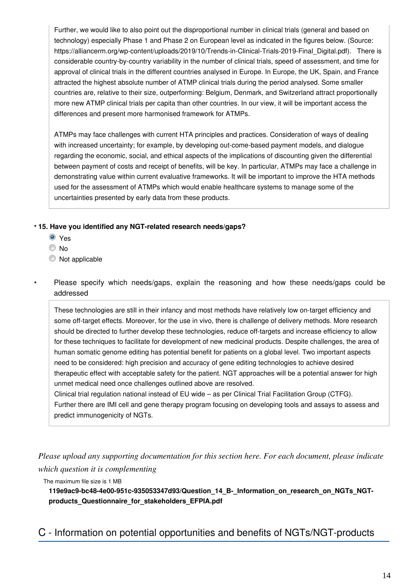Further, we would like to also point out the disproportional number in clinical trials (general and based on technology) especially Phase 1 and Phase 2 on European level as indicated in the figures below. (Source: https://alliancerm.org/wp-content/uploads/2019/10/Trends-in-Clinical-Trials-2019-Final Digital.pdf). There is considerable country-by-country variability in the number of clinical trials, speed of assessment, and time for approval of clinical trials in the different countries analysed in Europe. In Europe, the UK, Spain, and France attracted the highest absolute number of ATMP clinical trials during the period analysed. Some smaller countries are, relative to their size, outperforming: Belgium, Denmark, and Switzerland attract proportionally more new ATMP clinical trials per capita than other countries. In our view, it will be important access the differences and present more harmonised framework for ATMPs.

ATMPs may face challenges with current HTA principles and practices. Consideration of ways of dealing with increased uncertainty; for example, by developing out-come-based payment models, and dialogue regarding the economic, social, and ethical aspects of the implications of discounting given the differential between payment of costs and receipt of benefits, will be key. In particular, ATMPs may face a challenge in demonstrating value within current evaluative frameworks. It will be important to improve the HTA methods used for the assessment of ATMPs which would enable healthcare systems to manage some of the uncertainties presented by early data from these products.

#### **15. Have you identified any NGT-related research needs/gaps? \***

- Yes
- © No

**\***

- $\bullet$  Not applicable
- Please specify which needs/gaps, explain the reasoning and how these needs/gaps could be addressed

These technologies are still in their infancy and most methods have relatively low on-target efficiency and some off-target effects. Moreover, for the use in vivo, there is challenge of delivery methods. More research should be directed to further develop these technologies, reduce off-targets and increase efficiency to allow for these techniques to facilitate for development of new medicinal products. Despite challenges, the area of human somatic genome editing has potential benefit for patients on a global level. Two important aspects need to be considered: high precision and accuracy of gene editing technologies to achieve desired therapeutic effect with acceptable safety for the patient. NGT approaches will be a potential answer for high unmet medical need once challenges outlined above are resolved.

Clinical trial regulation national instead of EU wide – as per Clinical Trial Facilitation Group (CTFG). Further there are IMI cell and gene therapy program focusing on developing tools and assays to assess and predict immunogenicity of NGTs.

*Please upload any supporting documentation for this section here. For each document, please indicate which question it is complementing*

The maximum file size is 1 MB

**119e9ac9-bc48-4e00-951c-935053347d93/Question\_14\_B-\_Information\_on\_research\_on\_NGTs\_NGTproducts\_Questionnaire\_for\_stakeholders\_EFPIA.pdf**

# C - Information on potential opportunities and benefits of NGTs/NGT-products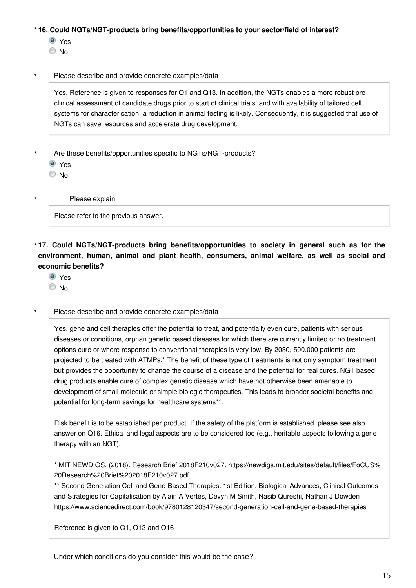#### **16. Could NGTs/NGT-products bring benefits/opportunities to your sector/field of interest? \***

<sup>◎</sup> Yes

© No

#### Please describe and provide concrete examples/data **\***

Yes, Reference is given to responses for Q1 and Q13. In addition, the NGTs enables a more robust preclinical assessment of candidate drugs prior to start of clinical trials, and with availability of tailored cell systems for characterisation, a reduction in animal testing is likely. Consequently, it is suggested that use of NGTs can save resources and accelerate drug development.

- Are these benefits/opportunities specific to NGTs/NGT-products? **\***
	- Yes

© No

**\***

Please explain

Please refer to the previous answer.

- **17. Could NGTs/NGT-products bring benefits/opportunities to society in general such as for the \* environment, human, animal and plant health, consumers, animal welfare, as well as social and economic benefits?**
	- <sup>O</sup> Yes
	- © No
- Please describe and provide concrete examples/data **\***

Yes, gene and cell therapies offer the potential to treat, and potentially even cure, patients with serious diseases or conditions, orphan genetic based diseases for which there are currently limited or no treatment options cure or where response to conventional therapies is very low. By 2030, 500.000 patients are projected to be treated with ATMPs.\* The benefit of these type of treatments is not only symptom treatment but provides the opportunity to change the course of a disease and the potential for real cures. NGT based drug products enable cure of complex genetic disease which have not otherwise been amenable to development of small molecule or simple biologic therapeutics. This leads to broader societal benefits and potential for long-term savings for healthcare systems\*\*.

Risk benefit is to be established per product. If the safety of the platform is established, please see also answer on Q16. Ethical and legal aspects are to be considered too (e.g., heritable aspects following a gene therapy with an NGT).

\* MIT NEWDIGS. (2018). Research Brief 2018F210v027. https://newdigs.mit.edu/sites/default/files/FoCUS% 20Research%20Brief%202018F210v027.pdf

\*\* Second Generation Cell and Gene-Based Therapies. 1st Edition. Biological Advances, Clinical Outcomes and Strategies for Capitalisation by Alain A Vertès, Devyn M Smith, Nasib Qureshi, Nathan J Dowden https://www.sciencedirect.com/book/9780128120347/second-generation-cell-and-gene-based-therapies

Reference is given to Q1, Q13 and Q16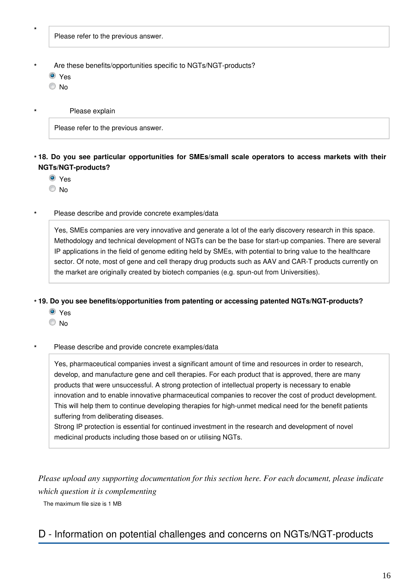**\***

**\***

Please refer to the previous answer.

- Are these benefits/opportunities specific to NGTs/NGT-products? **\***
	- O Yes
	- © No

Please explain

Please refer to the previous answer.

#### **18. Do you see particular opportunities for SMEs/small scale operators to access markets with their \* NGTs/NGT-products?**

- Yes
- © No
- Please describe and provide concrete examples/data **\***

Yes, SMEs companies are very innovative and generate a lot of the early discovery research in this space. Methodology and technical development of NGTs can be the base for start-up companies. There are several IP applications in the field of genome editing held by SMEs, with potential to bring value to the healthcare sector. Of note, most of gene and cell therapy drug products such as AAV and CAR-T products currently on the market are originally created by biotech companies (e.g. spun-out from Universities).

#### **19. Do you see benefits/opportunities from patenting or accessing patented NGTs/NGT-products? \***

- Yes
- No

#### Please describe and provide concrete examples/data **\***

Yes, pharmaceutical companies invest a significant amount of time and resources in order to research, develop, and manufacture gene and cell therapies. For each product that is approved, there are many products that were unsuccessful. A strong protection of intellectual property is necessary to enable innovation and to enable innovative pharmaceutical companies to recover the cost of product development. This will help them to continue developing therapies for high-unmet medical need for the benefit patients suffering from deliberating diseases.

Strong IP protection is essential for continued investment in the research and development of novel medicinal products including those based on or utilising NGTs.

*Please upload any supporting documentation for this section here. For each document, please indicate which question it is complementing*

The maximum file size is 1 MB

## D - Information on potential challenges and concerns on NGTs/NGT-products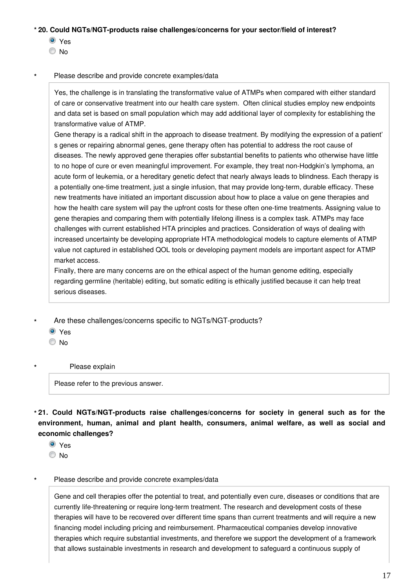#### **20. Could NGTs/NGT-products raise challenges/concerns for your sector/field of interest? \***

- <sup>◎</sup> Yes
- © No

#### Please describe and provide concrete examples/data **\***

Yes, the challenge is in translating the transformative value of ATMPs when compared with either standard of care or conservative treatment into our health care system. Often clinical studies employ new endpoints and data set is based on small population which may add additional layer of complexity for establishing the transformative value of ATMP.

Gene therapy is a radical shift in the approach to disease treatment. By modifying the expression of a patient' s genes or repairing abnormal genes, gene therapy often has potential to address the root cause of diseases. The newly approved gene therapies offer substantial benefits to patients who otherwise have little to no hope of cure or even meaningful improvement. For example, they treat non-Hodgkin's lymphoma, an acute form of leukemia, or a hereditary genetic defect that nearly always leads to blindness. Each therapy is a potentially one-time treatment, just a single infusion, that may provide long-term, durable efficacy. These new treatments have initiated an important discussion about how to place a value on gene therapies and how the health care system will pay the upfront costs for these often one-time treatments. Assigning value to gene therapies and comparing them with potentially lifelong illness is a complex task. ATMPs may face challenges with current established HTA principles and practices. Consideration of ways of dealing with increased uncertainty be developing appropriate HTA methodological models to capture elements of ATMP value not captured in established QOL tools or developing payment models are important aspect for ATMP market access.

Finally, there are many concerns are on the ethical aspect of the human genome editing, especially regarding germline (heritable) editing, but somatic editing is ethically justified because it can help treat serious diseases.

- Are these challenges/concerns specific to NGTs/NGT-products? **\***
	- Yes
	- $\odot$  No

**\***

#### Please explain

Please refer to the previous answer.

**21. Could NGTs/NGT-products raise challenges/concerns for society in general such as for the \* environment, human, animal and plant health, consumers, animal welfare, as well as social and economic challenges?**

- <sup>O</sup> Yes
- © No

#### Please describe and provide concrete examples/data **\***

Gene and cell therapies offer the potential to treat, and potentially even cure, diseases or conditions that are currently life-threatening or require long-term treatment. The research and development costs of these therapies will have to be recovered over different time spans than current treatments and will require a new financing model including pricing and reimbursement. Pharmaceutical companies develop innovative therapies which require substantial investments, and therefore we support the development of a framework that allows sustainable investments in research and development to safeguard a continuous supply of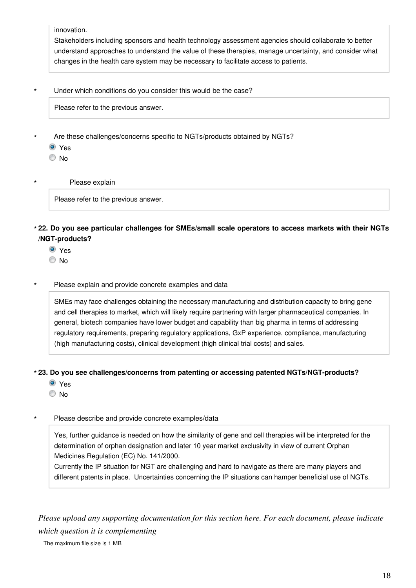innovation.

Stakeholders including sponsors and health technology assessment agencies should collaborate to better understand approaches to understand the value of these therapies, manage uncertainty, and consider what changes in the health care system may be necessary to facilitate access to patients.

Under which conditions do you consider this would be the case? **\***

Please refer to the previous answer.

- Are these challenges/concerns specific to NGTs/products obtained by NGTs? **\***
	- <sup>O</sup>Yes
	- © No

**\***

Please explain

Please refer to the previous answer.

**22. Do you see particular challenges for SMEs/small scale operators to access markets with their NGTs \* /NGT-products?**

- <sup>O</sup> Yes
- © No
- Please explain and provide concrete examples and data **\***

SMEs may face challenges obtaining the necessary manufacturing and distribution capacity to bring gene and cell therapies to market, which will likely require partnering with larger pharmaceutical companies. In general, biotech companies have lower budget and capability than big pharma in terms of addressing regulatory requirements, preparing regulatory applications, GxP experience, compliance, manufacturing (high manufacturing costs), clinical development (high clinical trial costs) and sales.

#### **23. Do you see challenges/concerns from patenting or accessing patented NGTs/NGT-products? \***

- Yes
- © No

#### Please describe and provide concrete examples/data **\***

Yes, further guidance is needed on how the similarity of gene and cell therapies will be interpreted for the determination of orphan designation and later 10 year market exclusivity in view of current Orphan Medicines Regulation (EC) No. 141/2000.

Currently the IP situation for NGT are challenging and hard to navigate as there are many players and different patents in place. Uncertainties concerning the IP situations can hamper beneficial use of NGTs.

*Please upload any supporting documentation for this section here. For each document, please indicate which question it is complementing*

The maximum file size is 1 MB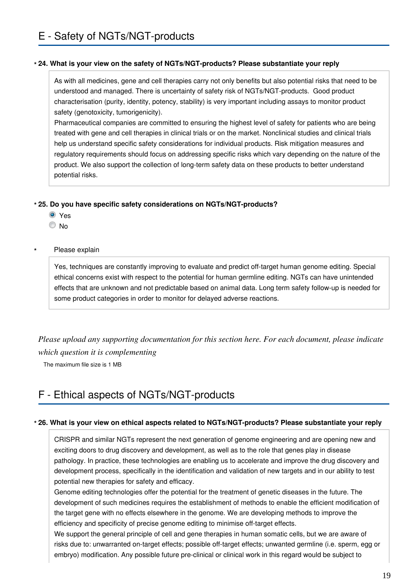#### **24. What is your view on the safety of NGTs/NGT-products? Please substantiate your reply \***

As with all medicines, gene and cell therapies carry not only benefits but also potential risks that need to be understood and managed. There is uncertainty of safety risk of NGTs/NGT-products. Good product characterisation (purity, identity, potency, stability) is very important including assays to monitor product safety (genotoxicity, tumorigenicity).

Pharmaceutical companies are committed to ensuring the highest level of safety for patients who are being treated with gene and cell therapies in clinical trials or on the market. Nonclinical studies and clinical trials help us understand specific safety considerations for individual products. Risk mitigation measures and regulatory requirements should focus on addressing specific risks which vary depending on the nature of the product. We also support the collection of long-term safety data on these products to better understand potential risks.

#### **25. Do you have specific safety considerations on NGTs/NGT-products? \***

- Yes
- © No

#### Please explain **\***

Yes, techniques are constantly improving to evaluate and predict off-target human genome editing. Special ethical concerns exist with respect to the potential for human germline editing. NGTs can have unintended effects that are unknown and not predictable based on animal data. Long term safety follow-up is needed for some product categories in order to monitor for delayed adverse reactions.

*Please upload any supporting documentation for this section here. For each document, please indicate which question it is complementing*

The maximum file size is 1 MB

# F - Ethical aspects of NGTs/NGT-products

#### **26. What is your view on ethical aspects related to NGTs/NGT-products? Please substantiate your reply \***

CRISPR and similar NGTs represent the next generation of genome engineering and are opening new and exciting doors to drug discovery and development, as well as to the role that genes play in disease pathology. In practice, these technologies are enabling us to accelerate and improve the drug discovery and development process, specifically in the identification and validation of new targets and in our ability to test potential new therapies for safety and efficacy.

Genome editing technologies offer the potential for the treatment of genetic diseases in the future. The development of such medicines requires the establishment of methods to enable the efficient modification of the target gene with no effects elsewhere in the genome. We are developing methods to improve the efficiency and specificity of precise genome editing to minimise off-target effects.

We support the general principle of cell and gene therapies in human somatic cells, but we are aware of risks due to: unwarranted on-target effects; possible off-target effects; unwanted germline (i.e. sperm, egg or embryo) modification. Any possible future pre-clinical or clinical work in this regard would be subject to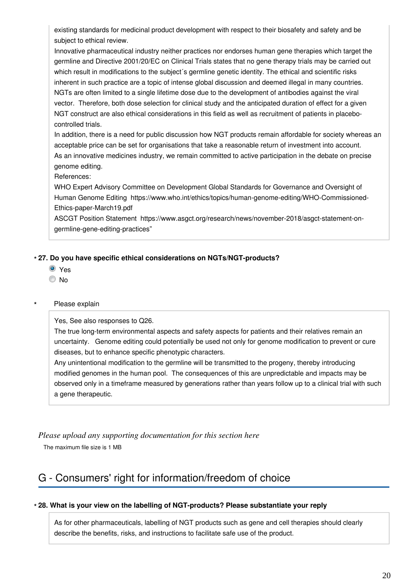existing standards for medicinal product development with respect to their biosafety and safety and be subject to ethical review.

Innovative pharmaceutical industry neither practices nor endorses human gene therapies which target the germline and Directive 2001/20/EC on Clinical Trials states that no gene therapy trials may be carried out which result in modifications to the subject's germline genetic identity. The ethical and scientific risks inherent in such practice are a topic of intense global discussion and deemed illegal in many countries. NGTs are often limited to a single lifetime dose due to the development of antibodies against the viral vector. Therefore, both dose selection for clinical study and the anticipated duration of effect for a given NGT construct are also ethical considerations in this field as well as recruitment of patients in placebocontrolled trials.

In addition, there is a need for public discussion how NGT products remain affordable for society whereas an acceptable price can be set for organisations that take a reasonable return of investment into account. As an innovative medicines industry, we remain committed to active participation in the debate on precise genome editing.

References:

WHO Expert Advisory Committee on Development Global Standards for Governance and Oversight of Human Genome Editing https://www.who.int/ethics/topics/human-genome-editing/WHO-Commissioned-Ethics-paper-March19.pdf

ASCGT Position Statement https://www.asgct.org/research/news/november-2018/asgct-statement-ongermline-gene-editing-practices"

#### **27. Do you have specific ethical considerations on NGTs/NGT-products? \***

- Yes
- © No

#### Please explain **\***

Yes, See also responses to Q26.

The true long-term environmental aspects and safety aspects for patients and their relatives remain an uncertainty. Genome editing could potentially be used not only for genome modification to prevent or cure diseases, but to enhance specific phenotypic characters.

Any unintentional modification to the germline will be transmitted to the progeny, thereby introducing modified genomes in the human pool. The consequences of this are unpredictable and impacts may be observed only in a timeframe measured by generations rather than years follow up to a clinical trial with such a gene therapeutic.

### *Please upload any supporting documentation for this section here*

The maximum file size is 1 MB

# G - Consumers' right for information/freedom of choice

#### **28. What is your view on the labelling of NGT-products? Please substantiate your reply \***

As for other pharmaceuticals, labelling of NGT products such as gene and cell therapies should clearly describe the benefits, risks, and instructions to facilitate safe use of the product.